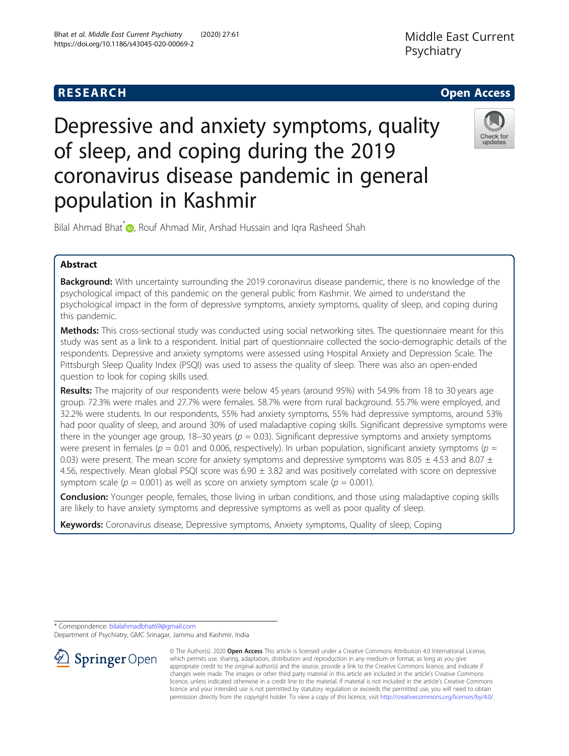# Depressive and anxiety symptoms, quality of sleep, and coping during the 2019 coronavirus disease pandemic in general population in Kashmir

Bilal Ahmad Bhat<sup>\*</sup> **D**, Rouf Ahmad Mir, Arshad Hussain and Igra Rasheed Shah

## Abstract

Background: With uncertainty surrounding the 2019 coronavirus disease pandemic, there is no knowledge of the psychological impact of this pandemic on the general public from Kashmir. We aimed to understand the psychological impact in the form of depressive symptoms, anxiety symptoms, quality of sleep, and coping during this pandemic.

Methods: This cross-sectional study was conducted using social networking sites. The questionnaire meant for this study was sent as a link to a respondent. Initial part of questionnaire collected the socio-demographic details of the respondents. Depressive and anxiety symptoms were assessed using Hospital Anxiety and Depression Scale. The Pittsburgh Sleep Quality Index (PSQI) was used to assess the quality of sleep. There was also an open-ended question to look for coping skills used.

Results: The majority of our respondents were below 45 years (around 95%) with 54.9% from 18 to 30 years age group. 72.3% were males and 27.7% were females. 58.7% were from rural background. 55.7% were employed, and 32.2% were students. In our respondents, 55% had anxiety symptoms, 55% had depressive symptoms, around 53% had poor quality of sleep, and around 30% of used maladaptive coping skills. Significant depressive symptoms were there in the younger age group, 18–30 years ( $p = 0.03$ ). Significant depressive symptoms and anxiety symptoms were present in females ( $p = 0.01$  and 0.006, respectively). In urban population, significant anxiety symptoms ( $p =$ 0.03) were present. The mean score for anxiety symptoms and depressive symptoms was 8.05  $\pm$  4.53 and 8.07  $\pm$ 4.56, respectively. Mean global PSQI score was  $6.90 \pm 3.82$  and was positively correlated with score on depressive symptom scale ( $p = 0.001$ ) as well as score on anxiety symptom scale ( $p = 0.001$ ).

**Conclusion:** Younger people, females, those living in urban conditions, and those using maladaptive coping skills are likely to have anxiety symptoms and depressive symptoms as well as poor quality of sleep.

Keywords: Coronavirus disease, Depressive symptoms, Anxiety symptoms, Quality of sleep, Coping

\* Correspondence: [bilalahmadbhat69@gmail.com](mailto:bilalahmadbhat69@gmail.com)

 $\Omega$  Springer Open

Department of Psychiatry, GMC Srinagar, Jammu and Kashmir, India

© The Author(s). 2020 Open Access This article is licensed under a Creative Commons Attribution 4.0 International License, which permits use, sharing, adaptation, distribution and reproduction in any medium or format, as long as you give appropriate credit to the original author(s) and the source, provide a link to the Creative Commons licence, and indicate if changes were made. The images or other third party material in this article are included in the article's Creative Commons licence, unless indicated otherwise in a credit line to the material. If material is not included in the article's Creative Commons licence and your intended use is not permitted by statutory regulation or exceeds the permitted use, you will need to obtain permission directly from the copyright holder. To view a copy of this licence, visit <http://creativecommons.org/licenses/by/4.0/>.





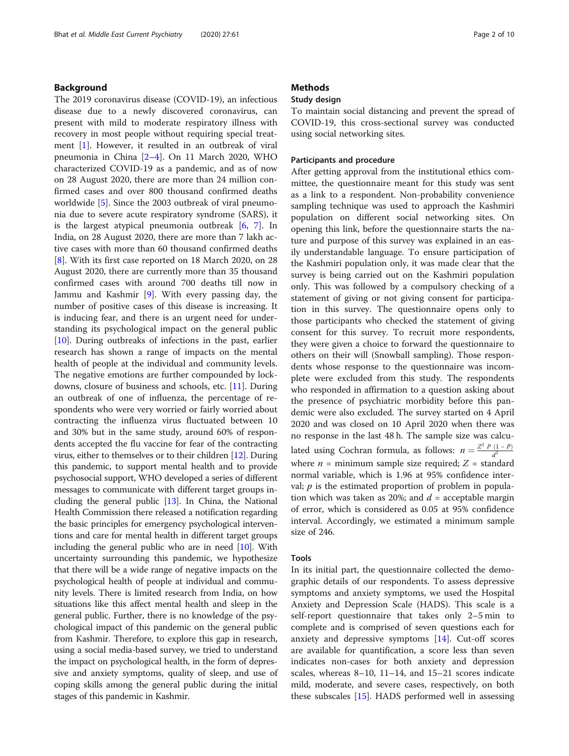## Background

The 2019 coronavirus disease (COVID-19), an infectious disease due to a newly discovered coronavirus, can present with mild to moderate respiratory illness with recovery in most people without requiring special treatment [[1\]](#page-8-0). However, it resulted in an outbreak of viral pneumonia in China [\[2](#page-8-0)–[4\]](#page-8-0). On 11 March 2020, WHO characterized COVID-19 as a pandemic, and as of now on 28 August 2020, there are more than 24 million confirmed cases and over 800 thousand confirmed deaths worldwide [\[5](#page-8-0)]. Since the 2003 outbreak of viral pneumonia due to severe acute respiratory syndrome (SARS), it is the largest atypical pneumonia outbreak  $[6, 7]$  $[6, 7]$  $[6, 7]$ . In India, on 28 August 2020, there are more than 7 lakh active cases with more than 60 thousand confirmed deaths [[8\]](#page-8-0). With its first case reported on 18 March 2020, on 28 August 2020, there are currently more than 35 thousand confirmed cases with around 700 deaths till now in Jammu and Kashmir [[9\]](#page-8-0). With every passing day, the number of positive cases of this disease is increasing. It is inducing fear, and there is an urgent need for understanding its psychological impact on the general public [[10\]](#page-8-0). During outbreaks of infections in the past, earlier research has shown a range of impacts on the mental health of people at the individual and community levels. The negative emotions are further compounded by lockdowns, closure of business and schools, etc. [\[11](#page-8-0)]. During an outbreak of one of influenza, the percentage of respondents who were very worried or fairly worried about contracting the influenza virus fluctuated between 10 and 30% but in the same study, around 60% of respondents accepted the flu vaccine for fear of the contracting virus, either to themselves or to their children [[12](#page-8-0)]. During this pandemic, to support mental health and to provide psychosocial support, WHO developed a series of different messages to communicate with different target groups including the general public  $[13]$  $[13]$  $[13]$ . In China, the National Health Commission there released a notification regarding the basic principles for emergency psychological interventions and care for mental health in different target groups including the general public who are in need [\[10\]](#page-8-0). With uncertainty surrounding this pandemic, we hypothesize that there will be a wide range of negative impacts on the psychological health of people at individual and community levels. There is limited research from India, on how situations like this affect mental health and sleep in the general public. Further, there is no knowledge of the psychological impact of this pandemic on the general public from Kashmir. Therefore, to explore this gap in research, using a social media-based survey, we tried to understand the impact on psychological health, in the form of depressive and anxiety symptoms, quality of sleep, and use of coping skills among the general public during the initial stages of this pandemic in Kashmir.

## **Methods**

## Study design

To maintain social distancing and prevent the spread of COVID-19, this cross-sectional survey was conducted using social networking sites.

## Participants and procedure

After getting approval from the institutional ethics committee, the questionnaire meant for this study was sent as a link to a respondent. Non-probability convenience sampling technique was used to approach the Kashmiri population on different social networking sites. On opening this link, before the questionnaire starts the nature and purpose of this survey was explained in an easily understandable language. To ensure participation of the Kashmiri population only, it was made clear that the survey is being carried out on the Kashmiri population only. This was followed by a compulsory checking of a statement of giving or not giving consent for participation in this survey. The questionnaire opens only to those participants who checked the statement of giving consent for this survey. To recruit more respondents, they were given a choice to forward the questionnaire to others on their will (Snowball sampling). Those respondents whose response to the questionnaire was incomplete were excluded from this study. The respondents who responded in affirmation to a question asking about the presence of psychiatric morbidity before this pandemic were also excluded. The survey started on 4 April 2020 and was closed on 10 April 2020 when there was no response in the last 48 h. The sample size was calculated using Cochran formula, as follows:  $n = \frac{Z^2 P (1 - P)}{d^2}$ where  $n =$  minimum sample size required;  $Z =$  standard normal variable, which is 1.96 at 95% confidence interval;  $p$  is the estimated proportion of problem in population which was taken as 20%; and  $d =$  acceptable margin of error, which is considered as 0.05 at 95% confidence interval. Accordingly, we estimated a minimum sample size of 246.

### Tools

In its initial part, the questionnaire collected the demographic details of our respondents. To assess depressive symptoms and anxiety symptoms, we used the Hospital Anxiety and Depression Scale (HADS). This scale is a self-report questionnaire that takes only 2–5 min to complete and is comprised of seven questions each for anxiety and depressive symptoms [[14\]](#page-8-0). Cut-off scores are available for quantification, a score less than seven indicates non-cases for both anxiety and depression scales, whereas 8–10, 11–14, and 15–21 scores indicate mild, moderate, and severe cases, respectively, on both these subscales [\[15\]](#page-8-0). HADS performed well in assessing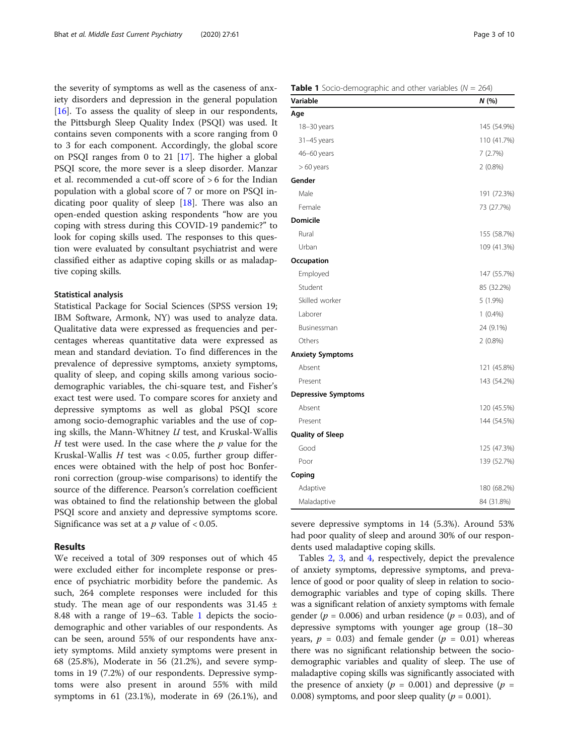the severity of symptoms as well as the caseness of anxiety disorders and depression in the general population [[16\]](#page-8-0). To assess the quality of sleep in our respondents, the Pittsburgh Sleep Quality Index (PSQI) was used. It contains seven components with a score ranging from 0 to 3 for each component. Accordingly, the global score on PSQI ranges from 0 to 21 [[17](#page-8-0)]. The higher a global PSQI score, the more sever is a sleep disorder. Manzar et al. recommended a cut-off score of > 6 for the Indian population with a global score of 7 or more on PSQI indicating poor quality of sleep [\[18](#page-8-0)]. There was also an open-ended question asking respondents "how are you coping with stress during this COVID-19 pandemic?" to look for coping skills used. The responses to this question were evaluated by consultant psychiatrist and were classified either as adaptive coping skills or as maladaptive coping skills.

### Statistical analysis

Statistical Package for Social Sciences (SPSS version 19; IBM Software, Armonk, NY) was used to analyze data. Qualitative data were expressed as frequencies and percentages whereas quantitative data were expressed as mean and standard deviation. To find differences in the prevalence of depressive symptoms, anxiety symptoms, quality of sleep, and coping skills among various sociodemographic variables, the chi-square test, and Fisher's exact test were used. To compare scores for anxiety and depressive symptoms as well as global PSQI score among socio-demographic variables and the use of coping skills, the Mann-Whitney  $U$  test, and Kruskal-Wallis H test were used. In the case where the  $p$  value for the Kruskal-Wallis  $H$  test was < 0.05, further group differences were obtained with the help of post hoc Bonferroni correction (group-wise comparisons) to identify the source of the difference. Pearson's correlation coefficient was obtained to find the relationship between the global PSQI score and anxiety and depressive symptoms score. Significance was set at a  $p$  value of < 0.05.

## Results

We received a total of 309 responses out of which 45 were excluded either for incomplete response or presence of psychiatric morbidity before the pandemic. As such, 264 complete responses were included for this study. The mean age of our respondents was  $31.45 \pm$ 8.48 with a range of 19–63. Table 1 depicts the sociodemographic and other variables of our respondents. As can be seen, around 55% of our respondents have anxiety symptoms. Mild anxiety symptoms were present in 68 (25.8%), Moderate in 56 (21.2%), and severe symptoms in 19 (7.2%) of our respondents. Depressive symptoms were also present in around 55% with mild symptoms in 61 (23.1%), moderate in 69 (26.1%), and

| <b>Table 1</b> Socio-demographic and other variables ( $N = 264$ ) |  |
|--------------------------------------------------------------------|--|
|--------------------------------------------------------------------|--|

| Variable                   | N (%)       |
|----------------------------|-------------|
| Age                        |             |
| 18-30 years                | 145 (54.9%) |
| 31-45 years                | 110 (41.7%) |
| 46-60 years                | 7(2.7%)     |
| $>60$ years                | $2(0.8\%)$  |
| Gender                     |             |
| Male                       | 191 (72.3%) |
| Female                     | 73 (27.7%)  |
| <b>Domicile</b>            |             |
| Rural                      | 155 (58.7%) |
| Urban                      | 109 (41.3%) |
| Occupation                 |             |
| Employed                   | 147 (55.7%) |
| Student                    | 85 (32.2%)  |
| Skilled worker             | $5(1.9\%)$  |
| Laborer                    | $1(0.4\%)$  |
| Businessman                | 24 (9.1%)   |
| Others                     | $2(0.8\%)$  |
| <b>Anxiety Symptoms</b>    |             |
| Absent                     | 121 (45.8%) |
| Present                    | 143 (54.2%) |
| <b>Depressive Symptoms</b> |             |
| Absent                     | 120 (45.5%) |
| Present                    | 144 (54.5%) |
| <b>Quality of Sleep</b>    |             |
| Good                       | 125 (47.3%) |
| Poor                       | 139 (52.7%) |
| Coping                     |             |
| Adaptive                   | 180 (68.2%) |
| Maladaptive                | 84 (31.8%)  |

severe depressive symptoms in 14 (5.3%). Around 53% had poor quality of sleep and around 30% of our respondents used maladaptive coping skills.

Tables [2](#page-3-0), [3](#page-4-0), and [4,](#page-5-0) respectively, depict the prevalence of anxiety symptoms, depressive symptoms, and prevalence of good or poor quality of sleep in relation to sociodemographic variables and type of coping skills. There was a significant relation of anxiety symptoms with female gender ( $p = 0.006$ ) and urban residence ( $p = 0.03$ ), and of depressive symptoms with younger age group (18–30 years,  $p = 0.03$ ) and female gender ( $p = 0.01$ ) whereas there was no significant relationship between the sociodemographic variables and quality of sleep. The use of maladaptive coping skills was significantly associated with the presence of anxiety ( $p = 0.001$ ) and depressive ( $p =$ 0.008) symptoms, and poor sleep quality ( $p = 0.001$ ).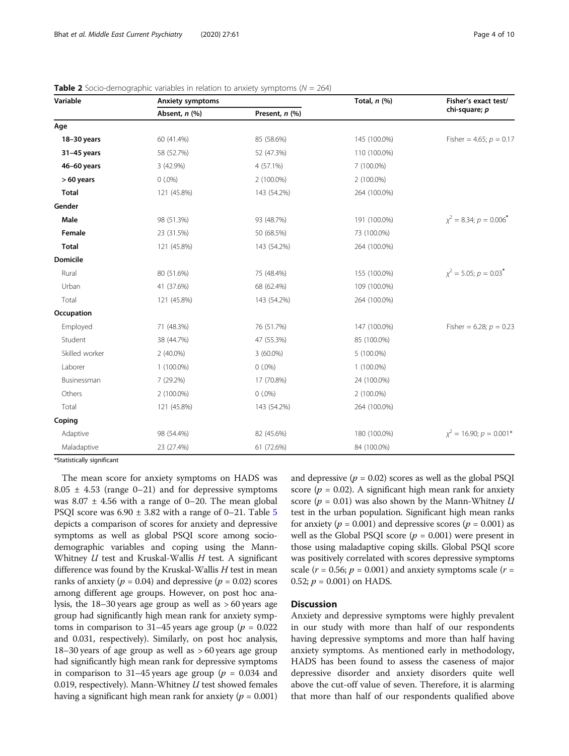| Variable       | <b>Anxiety symptoms</b> |                | Total, $n$ (%) | Fisher's exact test/                   |
|----------------|-------------------------|----------------|----------------|----------------------------------------|
|                | Absent, n (%)           | Present, n (%) |                | chi-square; p                          |
| Age            |                         |                |                |                                        |
| 18-30 years    | 60 (41.4%)              | 85 (58.6%)     | 145 (100.0%)   | Fisher = 4.65; $p = 0.17$              |
| $31-45$ years  | 58 (52.7%)              | 52 (47.3%)     | 110 (100.0%)   |                                        |
| 46-60 years    | 3 (42.9%)               | 4 (57.1%)      | 7 (100.0%)     |                                        |
| $>60$ years    | $0(.0\%)$               | 2 (100.0%)     | 2 (100.0%)     |                                        |
| <b>Total</b>   | 121 (45.8%)             | 143 (54.2%)    | 264 (100.0%)   |                                        |
| Gender         |                         |                |                |                                        |
| Male           | 98 (51.3%)              | 93 (48.7%)     | 191 (100.0%)   | $x^2 = 8.34; p = 0.006$ <sup>*</sup>   |
| Female         | 23 (31.5%)              | 50 (68.5%)     | 73 (100.0%)    |                                        |
| <b>Total</b>   | 121 (45.8%)             | 143 (54.2%)    | 264 (100.0%)   |                                        |
| Domicile       |                         |                |                |                                        |
| Rural          | 80 (51.6%)              | 75 (48.4%)     | 155 (100.0%)   | $x^2 = 5.05$ ; $p = 0.03$ <sup>*</sup> |
| Urban          | 41 (37.6%)              | 68 (62.4%)     | 109 (100.0%)   |                                        |
| Total          | 121 (45.8%)             | 143 (54.2%)    | 264 (100.0%)   |                                        |
| Occupation     |                         |                |                |                                        |
| Employed       | 71 (48.3%)              | 76 (51.7%)     | 147 (100.0%)   | Fisher = 6.28; $p = 0.23$              |
| Student        | 38 (44.7%)              | 47 (55.3%)     | 85 (100.0%)    |                                        |
| Skilled worker | $2(40.0\%)$             | 3 (60.0%)      | 5 (100.0%)     |                                        |
| Laborer        | 1 (100.0%)              | $0(.0\%)$      | 1 (100.0%)     |                                        |
| Businessman    | 7 (29.2%)               | 17 (70.8%)     | 24 (100.0%)    |                                        |
| Others         | 2 (100.0%)              | $0(.0\%)$      | 2 (100.0%)     |                                        |
| Total          | 121 (45.8%)             | 143 (54.2%)    | 264 (100.0%)   |                                        |
| Coping         |                         |                |                |                                        |
| Adaptive       | 98 (54.4%)              | 82 (45.6%)     | 180 (100.0%)   | $\chi^2$ = 16.90; $p = 0.001*$         |
| Maladaptive    | 23 (27.4%)              | 61 (72.6%)     | 84 (100.0%)    |                                        |

<span id="page-3-0"></span>

| <b>Table 2</b> Socio-demographic variables in relation to anxiety symptoms ( $N = 264$ ) |
|------------------------------------------------------------------------------------------|
|------------------------------------------------------------------------------------------|

\*Statistically significant

The mean score for anxiety symptoms on HADS was  $8.05 \pm 4.53$  (range 0–21) and for depressive symptoms was  $8.07 \pm 4.56$  with a range of 0–20. The mean global PSQI score was  $6.90 \pm 3.82$  with a range of 0–21. Table [5](#page-6-0) depicts a comparison of scores for anxiety and depressive symptoms as well as global PSQI score among sociodemographic variables and coping using the Mann-Whitney  $U$  test and Kruskal-Wallis  $H$  test. A significant difference was found by the Kruskal-Wallis H test in mean ranks of anxiety ( $p = 0.04$ ) and depressive ( $p = 0.02$ ) scores among different age groups. However, on post hoc analysis, the 18–30 years age group as well as > 60 years age group had significantly high mean rank for anxiety symptoms in comparison to 31–45 years age group ( $p = 0.022$ ) and 0.031, respectively). Similarly, on post hoc analysis, 18–30 years of age group as well as > 60 years age group had significantly high mean rank for depressive symptoms in comparison to 31–45 years age group ( $p = 0.034$  and 0.019, respectively). Mann-Whitney  $U$  test showed females having a significant high mean rank for anxiety ( $p = 0.001$ ) and depressive  $(p = 0.02)$  scores as well as the global PSQI score ( $p = 0.02$ ). A significant high mean rank for anxiety score ( $p = 0.01$ ) was also shown by the Mann-Whitney U test in the urban population. Significant high mean ranks for anxiety ( $p = 0.001$ ) and depressive scores ( $p = 0.001$ ) as well as the Global PSQI score  $(p = 0.001)$  were present in those using maladaptive coping skills. Global PSQI score was positively correlated with scores depressive symptoms scale ( $r = 0.56$ ;  $p = 0.001$ ) and anxiety symptoms scale ( $r =$ 0.52;  $p = 0.001$ ) on HADS.

## **Discussion**

Anxiety and depressive symptoms were highly prevalent in our study with more than half of our respondents having depressive symptoms and more than half having anxiety symptoms. As mentioned early in methodology, HADS has been found to assess the caseness of major depressive disorder and anxiety disorders quite well above the cut-off value of seven. Therefore, it is alarming that more than half of our respondents qualified above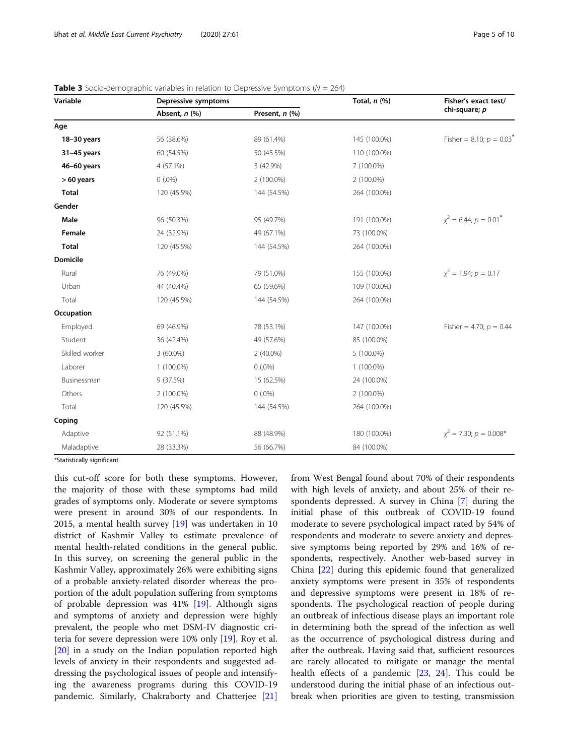| Variable        | Depressive symptoms |                | Total, $n$ $(\%)$ | Fisher's exact test/                   |  |
|-----------------|---------------------|----------------|-------------------|----------------------------------------|--|
|                 | Absent, n (%)       | Present, n (%) |                   | chi-square; p                          |  |
| Age             |                     |                |                   |                                        |  |
| 18-30 years     | 56 (38.6%)          | 89 (61.4%)     | 145 (100.0%)      | Fisher = 8.10; $p = 0.03$ <sup>*</sup> |  |
| 31-45 years     | 60 (54.5%)          | 50 (45.5%)     | 110 (100.0%)      |                                        |  |
| 46-60 years     | 4 (57.1%)           | 3 (42.9%)      | 7 (100.0%)        |                                        |  |
| $>60$ years     | $0(.0\%)$           | 2 (100.0%)     | 2 (100.0%)        |                                        |  |
| <b>Total</b>    | 120 (45.5%)         | 144 (54.5%)    | 264 (100.0%)      |                                        |  |
| Gender          |                     |                |                   |                                        |  |
| Male            | 96 (50.3%)          | 95 (49.7%)     | 191 (100.0%)      | $x^2 = 6.44$ ; $p = 0.01$ <sup>*</sup> |  |
| Female          | 24 (32.9%)          | 49 (67.1%)     | 73 (100.0%)       |                                        |  |
| <b>Total</b>    | 120 (45.5%)         | 144 (54.5%)    | 264 (100.0%)      |                                        |  |
| <b>Domicile</b> |                     |                |                   |                                        |  |
| Rural           | 76 (49.0%)          | 79 (51.0%)     | 155 (100.0%)      | $x^2 = 1.94; p = 0.17$                 |  |
| Urban           | 44 (40.4%)          | 65 (59.6%)     | 109 (100.0%)      |                                        |  |
| Total           | 120 (45.5%)         | 144 (54.5%)    | 264 (100.0%)      |                                        |  |
| Occupation      |                     |                |                   |                                        |  |
| Employed        | 69 (46.9%)          | 78 (53.1%)     | 147 (100.0%)      | Fisher = 4.70; $p = 0.44$              |  |
| Student         | 36 (42.4%)          | 49 (57.6%)     | 85 (100.0%)       |                                        |  |
| Skilled worker  | $3(60.0\%)$         | $2(40.0\%)$    | 5 (100.0%)        |                                        |  |
| Laborer         | 1 (100.0%)          | $0(.0\%)$      | $1(100.0\%)$      |                                        |  |
| Businessman     | 9(37.5%)            | 15 (62.5%)     | 24 (100.0%)       |                                        |  |
| Others          | 2 (100.0%)          | $0(.0\%)$      | 2 (100.0%)        |                                        |  |
| Total           | 120 (45.5%)         | 144 (54.5%)    | 264 (100.0%)      |                                        |  |
| Coping          |                     |                |                   |                                        |  |
| Adaptive        | 92 (51.1%)          | 88 (48.9%)     | 180 (100.0%)      | $x^2$ = 7.30; $p = 0.008*$             |  |
| Maladaptive     | 28 (33.3%)          | 56 (66.7%)     | 84 (100.0%)       |                                        |  |

<span id="page-4-0"></span>

| <b>Table 3</b> Socio-demographic variables in relation to Depressive Symptoms ( $N = 264$ ) |  |  |  |  |
|---------------------------------------------------------------------------------------------|--|--|--|--|
|---------------------------------------------------------------------------------------------|--|--|--|--|

\*Statistically significant

this cut-off score for both these symptoms. However, the majority of those with these symptoms had mild grades of symptoms only. Moderate or severe symptoms were present in around 30% of our respondents. In 2015, a mental health survey [[19\]](#page-8-0) was undertaken in 10 district of Kashmir Valley to estimate prevalence of mental health-related conditions in the general public. In this survey, on screening the general public in the Kashmir Valley, approximately 26% were exhibiting signs of a probable anxiety-related disorder whereas the proportion of the adult population suffering from symptoms of probable depression was 41% [[19\]](#page-8-0). Although signs and symptoms of anxiety and depression were highly prevalent, the people who met DSM-IV diagnostic criteria for severe depression were 10% only [[19\]](#page-8-0). Roy et al. [[20\]](#page-8-0) in a study on the Indian population reported high levels of anxiety in their respondents and suggested addressing the psychological issues of people and intensifying the awareness programs during this COVID-19 pandemic. Similarly, Chakraborty and Chatterjee [[21](#page-8-0)]

from West Bengal found about 70% of their respondents with high levels of anxiety, and about 25% of their respondents depressed. A survey in China [\[7](#page-8-0)] during the initial phase of this outbreak of COVID-19 found moderate to severe psychological impact rated by 54% of respondents and moderate to severe anxiety and depressive symptoms being reported by 29% and 16% of respondents, respectively. Another web-based survey in China [\[22](#page-8-0)] during this epidemic found that generalized anxiety symptoms were present in 35% of respondents and depressive symptoms were present in 18% of respondents. The psychological reaction of people during an outbreak of infectious disease plays an important role in determining both the spread of the infection as well as the occurrence of psychological distress during and after the outbreak. Having said that, sufficient resources are rarely allocated to mitigate or manage the mental health effects of a pandemic [[23,](#page-9-0) [24](#page-9-0)]. This could be understood during the initial phase of an infectious outbreak when priorities are given to testing, transmission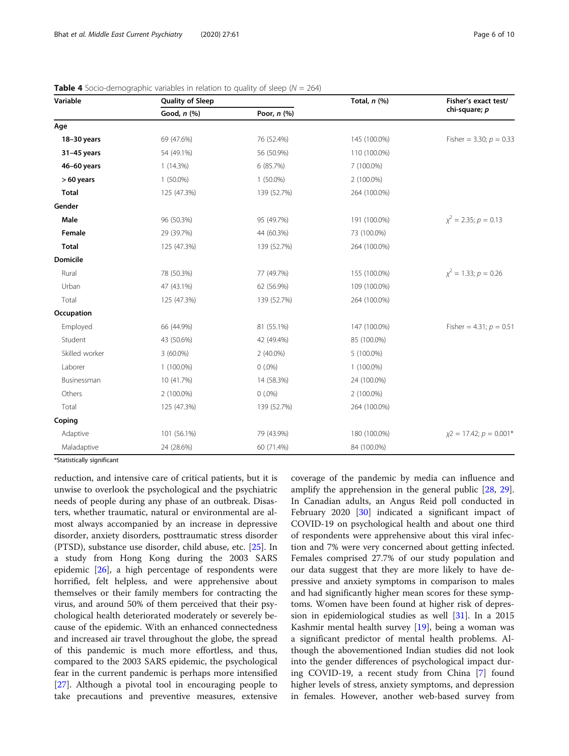| Variable        | Quality of Sleep | Total, $n$ $(\%)$ |              | Fisher's exact test/          |
|-----------------|------------------|-------------------|--------------|-------------------------------|
|                 | Good, $n$ $(\%)$ | Poor, $n$ (%)     |              | chi-square; p                 |
| Age             |                  |                   |              |                               |
| 18-30 years     | 69 (47.6%)       | 76 (52.4%)        | 145 (100.0%) | Fisher = 3.30; $p = 0.33$     |
| $31-45$ years   | 54 (49.1%)       | 56 (50.9%)        | 110 (100.0%) |                               |
| 46-60 years     | 1(14.3%)         | 6 (85.7%)         | 7 (100.0%)   |                               |
| $>60$ years     | $1(50.0\%)$      | $1(50.0\%)$       | 2 (100.0%)   |                               |
| <b>Total</b>    | 125 (47.3%)      | 139 (52.7%)       | 264 (100.0%) |                               |
| Gender          |                  |                   |              |                               |
| Male            | 96 (50.3%)       | 95 (49.7%)        | 191 (100.0%) | $\chi^2$ = 2.35; $p = 0.13$   |
| Female          | 29 (39.7%)       | 44 (60.3%)        | 73 (100.0%)  |                               |
| <b>Total</b>    | 125 (47.3%)      | 139 (52.7%)       | 264 (100.0%) |                               |
| <b>Domicile</b> |                  |                   |              |                               |
| Rural           | 78 (50.3%)       | 77 (49.7%)        | 155 (100.0%) | $x^2 = 1.33; p = 0.26$        |
| Urban           | 47 (43.1%)       | 62 (56.9%)        | 109 (100.0%) |                               |
| Total           | 125 (47.3%)      | 139 (52.7%)       | 264 (100.0%) |                               |
| Occupation      |                  |                   |              |                               |
| Employed        | 66 (44.9%)       | 81 (55.1%)        | 147 (100.0%) | Fisher = 4.31; $p = 0.51$     |
| Student         | 43 (50.6%)       | 42 (49.4%)        | 85 (100.0%)  |                               |
| Skilled worker  | $3(60.0\%)$      | $2(40.0\%)$       | 5 (100.0%)   |                               |
| Laborer         | 1 (100.0%)       | $0(.0\%)$         | 1 (100.0%)   |                               |
| Businessman     | 10 (41.7%)       | 14 (58.3%)        | 24 (100.0%)  |                               |
| Others          | 2 (100.0%)       | $0(.0\%)$         | 2 (100.0%)   |                               |
| Total           | 125 (47.3%)      | 139 (52.7%)       | 264 (100.0%) |                               |
| Coping          |                  |                   |              |                               |
| Adaptive        | 101 (56.1%)      | 79 (43.9%)        | 180 (100.0%) | $x^2 = 17.42$ ; $p = 0.001$ * |
| Maladaptive     | 24 (28.6%)       | 60 (71.4%)        | 84 (100.0%)  |                               |

<span id="page-5-0"></span>

| <b>Table 4</b> Socio-demographic variables in relation to quality of sleep ( $N = 264$ ) |  |  |  |
|------------------------------------------------------------------------------------------|--|--|--|
|------------------------------------------------------------------------------------------|--|--|--|

\*Statistically significant

reduction, and intensive care of critical patients, but it is unwise to overlook the psychological and the psychiatric needs of people during any phase of an outbreak. Disasters, whether traumatic, natural or environmental are almost always accompanied by an increase in depressive disorder, anxiety disorders, posttraumatic stress disorder (PTSD), substance use disorder, child abuse, etc. [[25](#page-9-0)]. In a study from Hong Kong during the 2003 SARS epidemic [[26\]](#page-9-0), a high percentage of respondents were horrified, felt helpless, and were apprehensive about themselves or their family members for contracting the virus, and around 50% of them perceived that their psychological health deteriorated moderately or severely because of the epidemic. With an enhanced connectedness and increased air travel throughout the globe, the spread of this pandemic is much more effortless, and thus, compared to the 2003 SARS epidemic, the psychological fear in the current pandemic is perhaps more intensified [[27\]](#page-9-0). Although a pivotal tool in encouraging people to take precautions and preventive measures, extensive coverage of the pandemic by media can influence and amplify the apprehension in the general public [[28,](#page-9-0) [29](#page-9-0)]. In Canadian adults, an Angus Reid poll conducted in February 2020 [[30\]](#page-9-0) indicated a significant impact of COVID-19 on psychological health and about one third of respondents were apprehensive about this viral infection and 7% were very concerned about getting infected. Females comprised 27.7% of our study population and our data suggest that they are more likely to have depressive and anxiety symptoms in comparison to males and had significantly higher mean scores for these symptoms. Women have been found at higher risk of depression in epidemiological studies as well [[31\]](#page-9-0). In a 2015 Kashmir mental health survey [[19\]](#page-8-0), being a woman was a significant predictor of mental health problems. Although the abovementioned Indian studies did not look into the gender differences of psychological impact during COVID-19, a recent study from China [\[7](#page-8-0)] found higher levels of stress, anxiety symptoms, and depression in females. However, another web-based survey from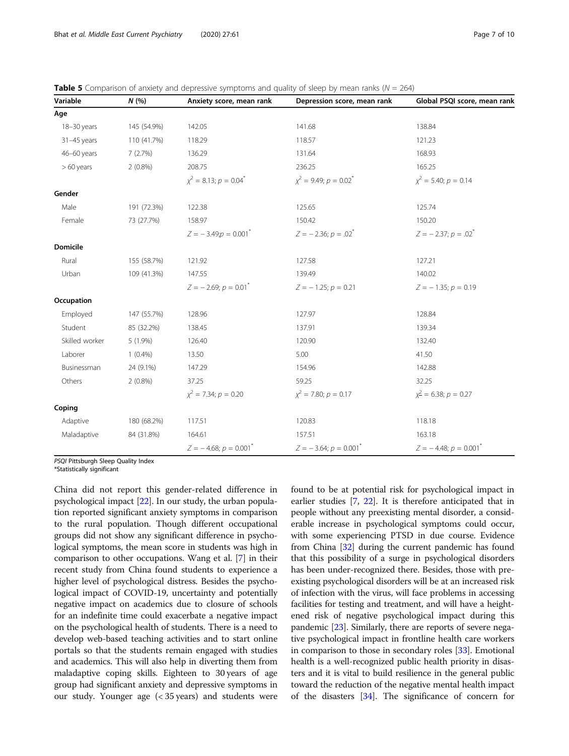<span id="page-6-0"></span>

| <b>Table 5</b> Comparison of anxiety and depressive symptoms and quality of sleep by mean ranks ( $N = 264$ ) |  |  |  |
|---------------------------------------------------------------------------------------------------------------|--|--|--|
|---------------------------------------------------------------------------------------------------------------|--|--|--|

| Variable        | N(%         | Anxiety score, mean rank                  | Depression score, mean rank   | Global PSQI score, mean rank |
|-----------------|-------------|-------------------------------------------|-------------------------------|------------------------------|
| Age             |             |                                           |                               |                              |
| 18-30 years     | 145 (54.9%) | 142.05                                    | 141.68                        | 138.84                       |
| 31-45 years     | 110 (41.7%) | 118.29                                    | 118.57                        | 121.23                       |
| 46-60 years     | 7(2.7%)     | 136.29                                    | 131.64                        | 168.93                       |
| $>60$ years     | $2(0.8\%)$  | 208.75                                    | 236.25                        | 165.25                       |
|                 |             | $\chi^2 = 8.13$ ; $p = 0.04$ <sup>*</sup> | $\chi^2$ = 9.49; $p = 0.02^*$ | $\chi^2$ = 5.40; $p = 0.14$  |
| Gender          |             |                                           |                               |                              |
| Male            | 191 (72.3%) | 122.38                                    | 125.65                        | 125.74                       |
| Female          | 73 (27.7%)  | 158.97                                    | 150.42                        | 150.20                       |
|                 |             | $Z = -3.49$ ; $p = 0.001$ <sup>*</sup>    | $Z = -2.36$ ; $p = .02^*$     | $Z = -2.37; p = .02^*$       |
| <b>Domicile</b> |             |                                           |                               |                              |
| Rural           | 155 (58.7%) | 121.92                                    | 127.58                        | 127.21                       |
| Urban           | 109 (41.3%) | 147.55                                    | 139.49                        | 140.02                       |
|                 |             | $Z = -2.69$ ; $p = 0.01$ <sup>*</sup>     | $Z = -1.25; p = 0.21$         | $Z = -1.35; p = 0.19$        |
| Occupation      |             |                                           |                               |                              |
| Employed        | 147 (55.7%) | 128.96                                    | 127.97                        | 128.84                       |
| Student         | 85 (32.2%)  | 138.45                                    | 137.91                        | 139.34                       |
| Skilled worker  | 5 (1.9%)    | 126.40                                    | 120.90                        | 132.40                       |
| Laborer         | $1(0.4\%)$  | 13.50                                     | 5.00                          | 41.50                        |
| Businessman     | 24 (9.1%)   | 147.29                                    | 154.96                        | 142.88                       |
| Others          | $2(0.8\%)$  | 37.25                                     | 59.25                         | 32.25                        |
|                 |             | $\chi^2$ = 7.34; $p = 0.20$               | $\chi^2$ = 7.80; $p = 0.17$   | $x^2$ = 6.38; $p = 0.27$     |
| Coping          |             |                                           |                               |                              |
| Adaptive        | 180 (68.2%) | 117.51                                    | 120.83                        | 118.18                       |
| Maladaptive     | 84 (31.8%)  | 164.61                                    | 157.51                        | 163.18                       |
|                 |             | $Z = -4.68; p = 0.001^*$                  | $Z = -3.64; p = 0.001^*$      | $Z = -4.48; p = 0.001^*$     |

PSQI Pittsburgh Sleep Quality Index

\*Statistically significant

China did not report this gender-related difference in psychological impact [\[22\]](#page-8-0). In our study, the urban population reported significant anxiety symptoms in comparison to the rural population. Though different occupational groups did not show any significant difference in psychological symptoms, the mean score in students was high in comparison to other occupations. Wang et al. [\[7](#page-8-0)] in their recent study from China found students to experience a higher level of psychological distress. Besides the psychological impact of COVID-19, uncertainty and potentially negative impact on academics due to closure of schools for an indefinite time could exacerbate a negative impact on the psychological health of students. There is a need to develop web-based teaching activities and to start online portals so that the students remain engaged with studies and academics. This will also help in diverting them from maladaptive coping skills. Eighteen to 30 years of age group had significant anxiety and depressive symptoms in our study. Younger age (< 35 years) and students were found to be at potential risk for psychological impact in earlier studies [\[7](#page-8-0), [22](#page-8-0)]. It is therefore anticipated that in people without any preexisting mental disorder, a considerable increase in psychological symptoms could occur, with some experiencing PTSD in due course. Evidence from China [[32](#page-9-0)] during the current pandemic has found that this possibility of a surge in psychological disorders has been under-recognized there. Besides, those with preexisting psychological disorders will be at an increased risk of infection with the virus, will face problems in accessing facilities for testing and treatment, and will have a heightened risk of negative psychological impact during this pandemic [[23](#page-9-0)]. Similarly, there are reports of severe negative psychological impact in frontline health care workers in comparison to those in secondary roles [[33](#page-9-0)]. Emotional health is a well-recognized public health priority in disasters and it is vital to build resilience in the general public toward the reduction of the negative mental health impact of the disasters [\[34\]](#page-9-0). The significance of concern for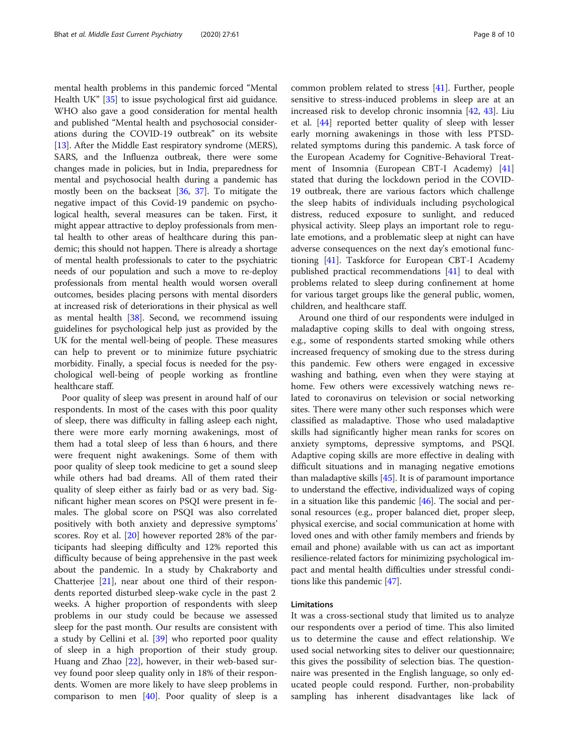mental health problems in this pandemic forced "Mental Health UK" [[35](#page-9-0)] to issue psychological first aid guidance. WHO also gave a good consideration for mental health and published "Mental health and psychosocial considerations during the COVID-19 outbreak" on its website [[13](#page-8-0)]. After the Middle East respiratory syndrome (MERS), SARS, and the Influenza outbreak, there were some changes made in policies, but in India, preparedness for mental and psychosocial health during a pandemic has mostly been on the backseat [\[36](#page-9-0), [37\]](#page-9-0). To mitigate the negative impact of this Covid-19 pandemic on psychological health, several measures can be taken. First, it might appear attractive to deploy professionals from mental health to other areas of healthcare during this pandemic; this should not happen. There is already a shortage of mental health professionals to cater to the psychiatric needs of our population and such a move to re-deploy professionals from mental health would worsen overall outcomes, besides placing persons with mental disorders at increased risk of deteriorations in their physical as well as mental health [\[38\]](#page-9-0). Second, we recommend issuing guidelines for psychological help just as provided by the UK for the mental well-being of people. These measures can help to prevent or to minimize future psychiatric morbidity. Finally, a special focus is needed for the psychological well-being of people working as frontline healthcare staff.

Poor quality of sleep was present in around half of our respondents. In most of the cases with this poor quality of sleep, there was difficulty in falling asleep each night, there were more early morning awakenings, most of them had a total sleep of less than 6 hours, and there were frequent night awakenings. Some of them with poor quality of sleep took medicine to get a sound sleep while others had bad dreams. All of them rated their quality of sleep either as fairly bad or as very bad. Significant higher mean scores on PSQI were present in females. The global score on PSQI was also correlated positively with both anxiety and depressive symptoms' scores. Roy et al. [\[20](#page-8-0)] however reported 28% of the participants had sleeping difficulty and 12% reported this difficulty because of being apprehensive in the past week about the pandemic. In a study by Chakraborty and Chatterjee  $[21]$  $[21]$ , near about one third of their respondents reported disturbed sleep-wake cycle in the past 2 weeks. A higher proportion of respondents with sleep problems in our study could be because we assessed sleep for the past month. Our results are consistent with a study by Cellini et al. [[39\]](#page-9-0) who reported poor quality of sleep in a high proportion of their study group. Huang and Zhao [\[22](#page-8-0)], however, in their web-based survey found poor sleep quality only in 18% of their respondents. Women are more likely to have sleep problems in comparison to men  $[40]$  $[40]$ . Poor quality of sleep is a common problem related to stress [\[41\]](#page-9-0). Further, people sensitive to stress-induced problems in sleep are at an increased risk to develop chronic insomnia [[42,](#page-9-0) [43](#page-9-0)]. Liu et al. [[44\]](#page-9-0) reported better quality of sleep with lesser early morning awakenings in those with less PTSDrelated symptoms during this pandemic. A task force of the European Academy for Cognitive-Behavioral Treatment of Insomnia (European CBT-I Academy) [[41](#page-9-0)] stated that during the lockdown period in the COVID-19 outbreak, there are various factors which challenge the sleep habits of individuals including psychological distress, reduced exposure to sunlight, and reduced physical activity. Sleep plays an important role to regulate emotions, and a problematic sleep at night can have adverse consequences on the next day's emotional functioning [\[41](#page-9-0)]. Taskforce for European CBT-I Academy published practical recommendations [\[41](#page-9-0)] to deal with problems related to sleep during confinement at home for various target groups like the general public, women, children, and healthcare staff.

Around one third of our respondents were indulged in maladaptive coping skills to deal with ongoing stress, e.g., some of respondents started smoking while others increased frequency of smoking due to the stress during this pandemic. Few others were engaged in excessive washing and bathing, even when they were staying at home. Few others were excessively watching news related to coronavirus on television or social networking sites. There were many other such responses which were classified as maladaptive. Those who used maladaptive skills had significantly higher mean ranks for scores on anxiety symptoms, depressive symptoms, and PSQI. Adaptive coping skills are more effective in dealing with difficult situations and in managing negative emotions than maladaptive skills  $[45]$ . It is of paramount importance to understand the effective, individualized ways of coping in a situation like this pandemic [\[46\]](#page-9-0). The social and personal resources (e.g., proper balanced diet, proper sleep, physical exercise, and social communication at home with loved ones and with other family members and friends by email and phone) available with us can act as important resilience-related factors for minimizing psychological impact and mental health difficulties under stressful conditions like this pandemic [[47](#page-9-0)].

## Limitations

It was a cross-sectional study that limited us to analyze our respondents over a period of time. This also limited us to determine the cause and effect relationship. We used social networking sites to deliver our questionnaire; this gives the possibility of selection bias. The questionnaire was presented in the English language, so only educated people could respond. Further, non-probability sampling has inherent disadvantages like lack of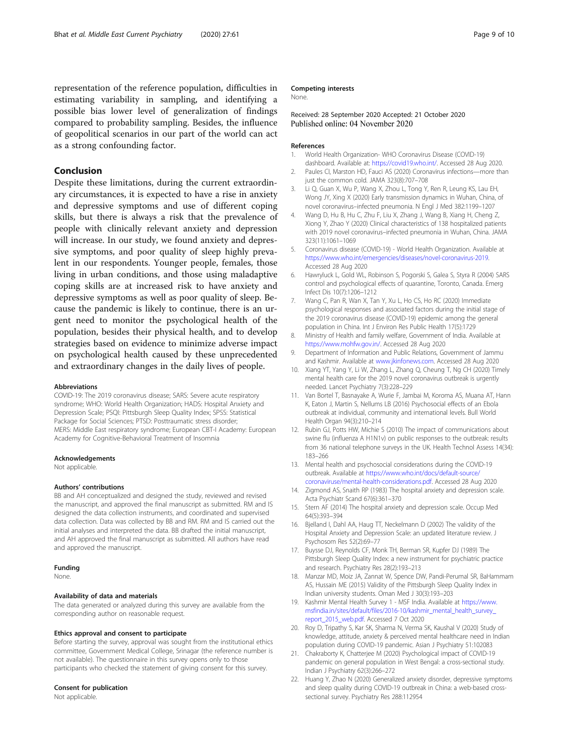<span id="page-8-0"></span>representation of the reference population, difficulties in estimating variability in sampling, and identifying a possible bias lower level of generalization of findings compared to probability sampling. Besides, the influence of geopolitical scenarios in our part of the world can act as a strong confounding factor.

## Conclusion

Despite these limitations, during the current extraordinary circumstances, it is expected to have a rise in anxiety and depressive symptoms and use of different coping skills, but there is always a risk that the prevalence of people with clinically relevant anxiety and depression will increase. In our study, we found anxiety and depressive symptoms, and poor quality of sleep highly prevalent in our respondents. Younger people, females, those living in urban conditions, and those using maladaptive coping skills are at increased risk to have anxiety and depressive symptoms as well as poor quality of sleep. Because the pandemic is likely to continue, there is an urgent need to monitor the psychological health of the population, besides their physical health, and to develop strategies based on evidence to minimize adverse impact on psychological health caused by these unprecedented and extraordinary changes in the daily lives of people.

#### Abbreviations

COVID-19: The 2019 coronavirus disease; SARS: Severe acute respiratory syndrome; WHO: World Health Organization; HADS: Hospital Anxiety and Depression Scale; PSQI: Pittsburgh Sleep Quality Index; SPSS: Statistical Package for Social Sciences; PTSD: Posttraumatic stress disorder; MERS: Middle East respiratory syndrome; European CBT-I Academy: European Academy for Cognitive-Behavioral Treatment of Insomnia

#### Acknowledgements

Not applicable

#### Authors' contributions

BB and AH conceptualized and designed the study, reviewed and revised the manuscript, and approved the final manuscript as submitted. RM and IS designed the data collection instruments, and coordinated and supervised data collection. Data was collected by BB and RM. RM and IS carried out the initial analyses and interpreted the data. BB drafted the initial manuscript, and AH approved the final manuscript as submitted. All authors have read and approved the manuscript.

## Funding

None.

#### Availability of data and materials

The data generated or analyzed during this survey are available from the corresponding author on reasonable request.

#### Ethics approval and consent to participate

Before starting the survey, approval was sought from the institutional ethics committee, Government Medical College, Srinagar (the reference number is not available). The questionnaire in this survey opens only to those participants who checked the statement of giving consent for this survey.

## Consent for publication

Not applicable.

#### Competing interests

None.

## Received: 28 September 2020 Accepted: 21 October 2020 Published online: 04 November 2020

#### References

- 1. World Health Organization- WHO Coronavirus Disease (COVID-19) dashboard. Available at: <https://covid19.who.int/>. Accessed 28 Aug 2020.
- 2. Paules CI, Marston HD, Fauci AS (2020) Coronavirus infections—more than just the common cold. JAMA 323(8):707–708
- 3. Li Q, Guan X, Wu P, Wang X, Zhou L, Tong Y, Ren R, Leung KS, Lau EH, Wong JY, Xing X (2020) Early transmission dynamics in Wuhan, China, of novel coronavirus–infected pneumonia. N Engl J Med 382:1199–1207
- 4. Wang D, Hu B, Hu C, Zhu F, Liu X, Zhang J, Wang B, Xiang H, Cheng Z, Xiong Y, Zhao Y (2020) Clinical characteristics of 138 hospitalized patients with 2019 novel coronavirus–infected pneumonia in Wuhan, China. JAMA 323(11):1061–1069
- 5. Coronavirus disease (COVID-19) World Health Organization. Available at <https://www.who.int/emergencies/diseases/novel-coronavirus-2019>. Accessed 28 Aug 2020
- 6. Hawryluck L, Gold WL, Robinson S, Pogorski S, Galea S, Styra R (2004) SARS control and psychological effects of quarantine, Toronto, Canada. Emerg Infect Dis 10(7):1206–1212
- 7. Wang C, Pan R, Wan X, Tan Y, Xu L, Ho CS, Ho RC (2020) Immediate psychological responses and associated factors during the initial stage of the 2019 coronavirus disease (COVID-19) epidemic among the general population in China. Int J Environ Res Public Health 17(5):1729
- 8. Ministry of Health and family welfare, Government of India. Available at <https://www.mohfw.gov.in/>. Accessed 28 Aug 2020
- 9. Department of Information and Public Relations, Government of Jammu and Kashmir. Available at [www.jkinfonews.com](http://www.jkinfonews.com). Accessed 28 Aug 2020
- 10. Xiang YT, Yang Y, Li W, Zhang L, Zhang Q, Cheung T, Ng CH (2020) Timely mental health care for the 2019 novel coronavirus outbreak is urgently needed. Lancet Psychiatry 7(3):228–229
- 11. Van Bortel T, Basnayake A, Wurie F, Jambai M, Koroma AS, Muana AT, Hann K, Eaton J, Martin S, Nellums LB (2016) Psychosocial effects of an Ebola outbreak at individual, community and international levels. Bull World Health Organ 94(3):210–214
- 12. Rubin GJ, Potts HW, Michie S (2010) The impact of communications about swine flu (influenza A H1N1v) on public responses to the outbreak: results from 36 national telephone surveys in the UK. Health Technol Assess 14(34): 183–266
- 13. Mental health and psychosocial considerations during the COVID-19 outbreak. Available at [https://www.who.int/docs/default-source/](https://www.who.int/docs/default-source/coronaviruse/mental-health-considerations.pdf) [coronaviruse/mental-health-considerations.pdf](https://www.who.int/docs/default-source/coronaviruse/mental-health-considerations.pdf). Accessed 28 Aug 2020
- 14. Zigmond AS, Snaith RP (1983) The hospital anxiety and depression scale. Acta Psychiatr Scand 67(6):361–370
- 15. Stern AF (2014) The hospital anxiety and depression scale. Occup Med 64(5):393–394
- 16. Bjelland I, Dahl AA, Haug TT, Neckelmann D (2002) The validity of the Hospital Anxiety and Depression Scale: an updated literature review. J Psychosom Res 52(2):69–77
- 17. Buysse DJ, Reynolds CF, Monk TH, Berman SR, Kupfer DJ (1989) The Pittsburgh Sleep Quality Index: a new instrument for psychiatric practice and research. Psychiatry Res 28(2):193–213
- 18. Manzar MD, Moiz JA, Zannat W, Spence DW, Pandi-Perumal SR, BaHammam AS, Hussain ME (2015) Validity of the Pittsburgh Sleep Quality Index in Indian university students. Oman Med J 30(3):193–203
- 19. Kashmir Mental Health Survey 1 MSF India. Available at [https://www.](https://www.msfindia.in/sites/default/files/2016-10/kashmir_mental_health_survey_report_2015_web.pdf) [msfindia.in/sites/default/files/2016-10/kashmir\\_mental\\_health\\_survey\\_](https://www.msfindia.in/sites/default/files/2016-10/kashmir_mental_health_survey_report_2015_web.pdf) [report\\_2015\\_web.pdf.](https://www.msfindia.in/sites/default/files/2016-10/kashmir_mental_health_survey_report_2015_web.pdf) Accessed 7 Oct 2020
- 20. Roy D, Tripathy S, Kar SK, Sharma N, Verma SK, Kaushal V (2020) Study of knowledge, attitude, anxiety & perceived mental healthcare need in Indian population during COVID-19 pandemic. Asian J Psychiatry 51:102083
- 21. Chakraborty K, Chatterjee M (2020) Psychological impact of COVID-19 pandemic on general population in West Bengal: a cross-sectional study. Indian J Psychiatry 62(3):266–272
- 22. Huang Y, Zhao N (2020) Generalized anxiety disorder, depressive symptoms and sleep quality during COVID-19 outbreak in China: a web-based crosssectional survey. Psychiatry Res 288:112954